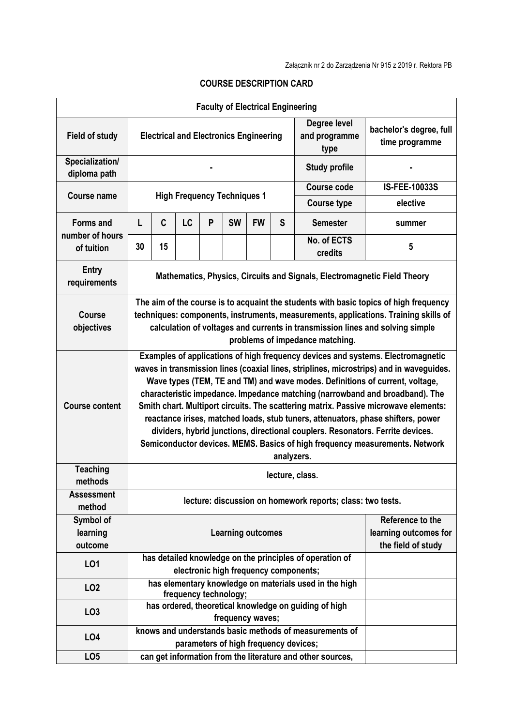|                                        |                                                                                                                                                                                                                                                                                                                                                                                                                                                                                                                                                                                                                                                                                                      |    |           |   | <b>Faculty of Electrical Engineering</b> |                                                                 |                                       |                                                                                                 |                      |  |  |
|----------------------------------------|------------------------------------------------------------------------------------------------------------------------------------------------------------------------------------------------------------------------------------------------------------------------------------------------------------------------------------------------------------------------------------------------------------------------------------------------------------------------------------------------------------------------------------------------------------------------------------------------------------------------------------------------------------------------------------------------------|----|-----------|---|------------------------------------------|-----------------------------------------------------------------|---------------------------------------|-------------------------------------------------------------------------------------------------|----------------------|--|--|
| <b>Field of study</b>                  | <b>Electrical and Electronics Engineering</b>                                                                                                                                                                                                                                                                                                                                                                                                                                                                                                                                                                                                                                                        |    |           |   |                                          |                                                                 | Degree level<br>and programme<br>type | bachelor's degree, full<br>time programme                                                       |                      |  |  |
| Specialization/<br>diploma path        |                                                                                                                                                                                                                                                                                                                                                                                                                                                                                                                                                                                                                                                                                                      |    |           |   |                                          |                                                                 | <b>Study profile</b>                  |                                                                                                 |                      |  |  |
|                                        |                                                                                                                                                                                                                                                                                                                                                                                                                                                                                                                                                                                                                                                                                                      |    |           |   |                                          |                                                                 |                                       | Course code                                                                                     | <b>IS-FEE-10033S</b> |  |  |
| <b>Course name</b>                     | <b>High Frequency Techniques 1</b>                                                                                                                                                                                                                                                                                                                                                                                                                                                                                                                                                                                                                                                                   |    |           |   |                                          |                                                                 |                                       | <b>Course type</b>                                                                              | elective             |  |  |
| <b>Forms and</b>                       | L                                                                                                                                                                                                                                                                                                                                                                                                                                                                                                                                                                                                                                                                                                    | C  | <b>LC</b> | P | <b>SW</b>                                | <b>FW</b>                                                       | S                                     | <b>Semester</b>                                                                                 | summer               |  |  |
| number of hours<br>of tuition          | 30                                                                                                                                                                                                                                                                                                                                                                                                                                                                                                                                                                                                                                                                                                   | 15 |           |   |                                          |                                                                 |                                       | No. of ECTS<br>credits                                                                          | 5                    |  |  |
| <b>Entry</b><br>requirements           | Mathematics, Physics, Circuits and Signals, Electromagnetic Field Theory                                                                                                                                                                                                                                                                                                                                                                                                                                                                                                                                                                                                                             |    |           |   |                                          |                                                                 |                                       |                                                                                                 |                      |  |  |
| <b>Course</b><br>objectives            | The aim of the course is to acquaint the students with basic topics of high frequency<br>techniques: components, instruments, measurements, applications. Training skills of<br>calculation of voltages and currents in transmission lines and solving simple<br>problems of impedance matching.                                                                                                                                                                                                                                                                                                                                                                                                     |    |           |   |                                          |                                                                 |                                       |                                                                                                 |                      |  |  |
| <b>Course content</b>                  | Examples of applications of high frequency devices and systems. Electromagnetic<br>waves in transmission lines (coaxial lines, striplines, microstrips) and in waveguides.<br>Wave types (TEM, TE and TM) and wave modes. Definitions of current, voltage,<br>characteristic impedance. Impedance matching (narrowband and broadband). The<br>Smith chart. Multiport circuits. The scattering matrix. Passive microwave elements:<br>reactance irises, matched loads, stub tuners, attenuators, phase shifters, power<br>dividers, hybrid junctions, directional couplers. Resonators. Ferrite devices.<br>Semiconductor devices. MEMS. Basics of high frequency measurements. Network<br>analyzers. |    |           |   |                                          |                                                                 |                                       |                                                                                                 |                      |  |  |
| <b>Teaching</b>                        |                                                                                                                                                                                                                                                                                                                                                                                                                                                                                                                                                                                                                                                                                                      |    |           |   |                                          |                                                                 |                                       | lecture, class.                                                                                 |                      |  |  |
| methods<br><b>Assessment</b><br>method | lecture: discussion on homework reports; class: two tests.                                                                                                                                                                                                                                                                                                                                                                                                                                                                                                                                                                                                                                           |    |           |   |                                          |                                                                 |                                       |                                                                                                 |                      |  |  |
| Symbol of<br>learning<br>outcome       | <b>Learning outcomes</b>                                                                                                                                                                                                                                                                                                                                                                                                                                                                                                                                                                                                                                                                             |    |           |   |                                          | Reference to the<br>learning outcomes for<br>the field of study |                                       |                                                                                                 |                      |  |  |
| L01                                    |                                                                                                                                                                                                                                                                                                                                                                                                                                                                                                                                                                                                                                                                                                      |    |           |   | electronic high frequency components;    |                                                                 |                                       | has detailed knowledge on the principles of operation of                                        |                      |  |  |
| LO <sub>2</sub>                        |                                                                                                                                                                                                                                                                                                                                                                                                                                                                                                                                                                                                                                                                                                      |    |           |   | frequency technology;                    |                                                                 |                                       | has elementary knowledge on materials used in the high                                          |                      |  |  |
| LO <sub>3</sub>                        |                                                                                                                                                                                                                                                                                                                                                                                                                                                                                                                                                                                                                                                                                                      |    |           |   | frequency waves;                         |                                                                 |                                       | has ordered, theoretical knowledge on guiding of high                                           |                      |  |  |
| LO4                                    |                                                                                                                                                                                                                                                                                                                                                                                                                                                                                                                                                                                                                                                                                                      |    |           |   |                                          |                                                                 |                                       | knows and understands basic methods of measurements of<br>parameters of high frequency devices; |                      |  |  |
| LO <sub>5</sub>                        |                                                                                                                                                                                                                                                                                                                                                                                                                                                                                                                                                                                                                                                                                                      |    |           |   |                                          |                                                                 |                                       | can get information from the literature and other sources,                                      |                      |  |  |

## **COURSE DESCRIPTION CARD**